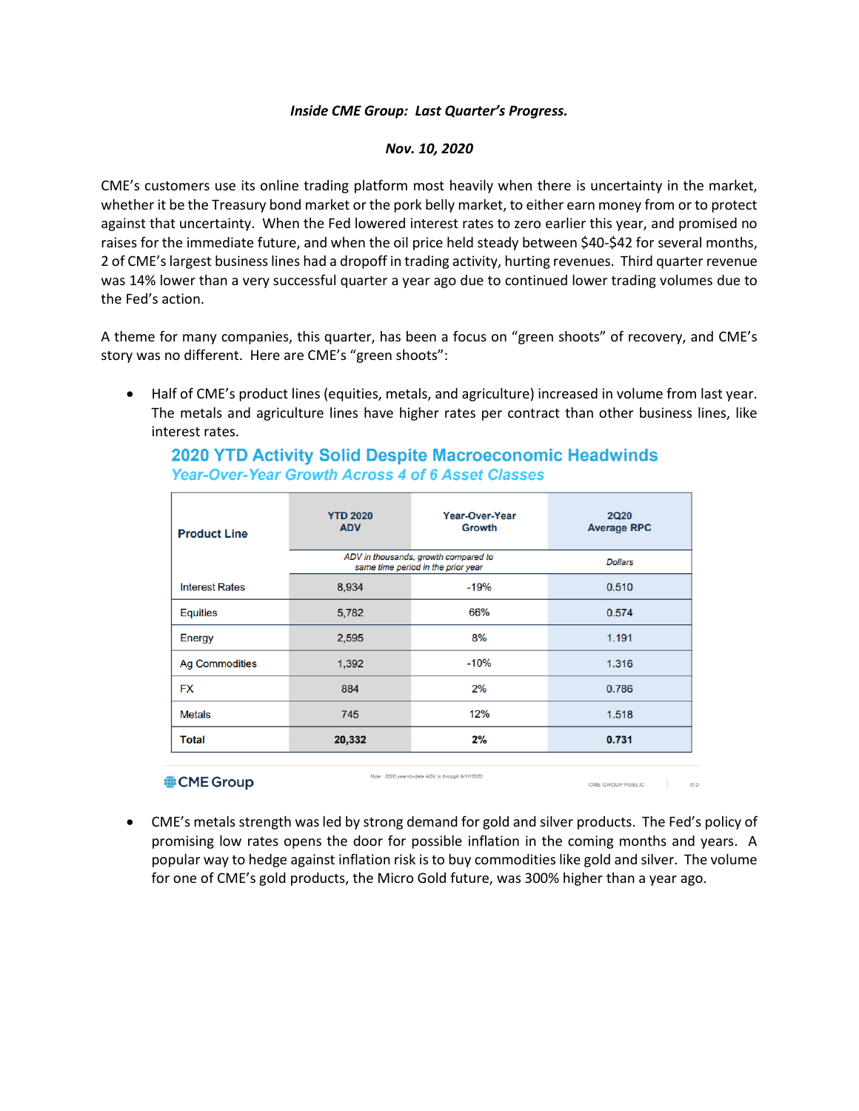## *Inside CME Group: Last Quarter's Progress.*

## *Nov. 10, 2020*

CME's customers use its online trading platform most heavily when there is uncertainty in the market, whether it be the Treasury bond market or the pork belly market, to either earn money from or to protect against that uncertainty. When the Fed lowered interest rates to zero earlier this year, and promised no raises for the immediate future, and when the oil price held steady between \$40-\$42 for several months, 2 of CME's largest business lines had a dropoff in trading activity, hurting revenues. Third quarter revenue was 14% lower than a very successful quarter a year ago due to continued lower trading volumes due to the Fed's action.

A theme for many companies, this quarter, has been a focus on "green shoots" of recovery, and CME's story was no different. Here are CME's "green shoots":

• Half of CME's product lines (equities, metals, and agriculture) increased in volume from last year. The metals and agriculture lines have higher rates per contract than other business lines, like interest rates.

## **2020 YTD Activity Solid Despite Macroeconomic Headwinds Year-Over-Year Growth Across 4 of 6 Asset Classes**

| <b>Product Line</b>                                               | <b>YTD 2020</b><br><b>ADV</b>                                              | Year-Over-Year<br>Growth | <b>2Q20</b><br><b>Average RPC</b> |
|-------------------------------------------------------------------|----------------------------------------------------------------------------|--------------------------|-----------------------------------|
|                                                                   | ADV in thousands, growth compared to<br>same time period in the prior year |                          | <b>Dollars</b>                    |
| <b>Interest Rates</b>                                             | 8,934                                                                      | $-19%$                   | 0.510                             |
| <b>Equities</b>                                                   | 5,782                                                                      | 66%                      | 0.574                             |
| Energy                                                            | 2,595                                                                      | 8%                       | 1.191                             |
| <b>Ag Commodities</b>                                             | 1,392                                                                      | $-10%$                   | 1.316                             |
| <b>FX</b>                                                         | 884                                                                        | 2%                       | 0.786                             |
| <b>Metals</b>                                                     | 745                                                                        | 12%                      | 1.518                             |
| <b>Total</b>                                                      | 20,332                                                                     | 2%                       | 0.731                             |
| Note: 2020 year-to-date ADV is through 9/11/2020<br>$\sim$ $\sim$ |                                                                            |                          |                                   |

## • CME's metals strength was led by strong demand for gold and silver products. The Fed's policy of promising low rates opens the door for possible inflation in the coming months and years. A popular way to hedge against inflation risk is to buy commodities like gold and silver. The volume for one of CME's gold products, the Micro Gold future, was 300% higher than a year ago.

CME GROUP PUBLIC COM

CME Group